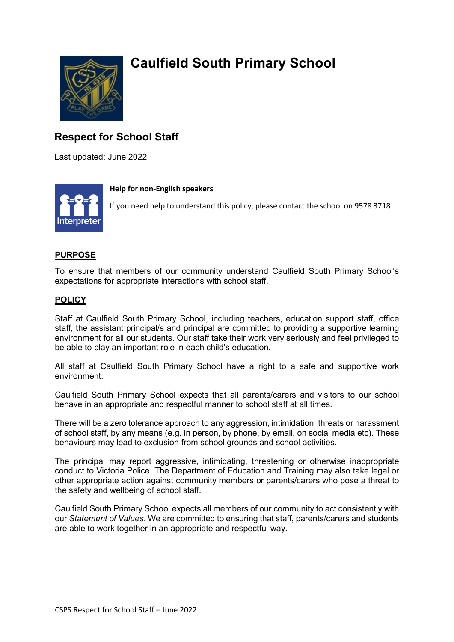

# **Caulfield South Primary School**

## **Respect for School Staff**

Last updated: June 2022



#### **Help for non-English speakers**

If you need help to understand this policy, please contact the school on 9578 3718

### **PURPOSE**

To ensure that members of our community understand Caulfield South Primary School's expectations for appropriate interactions with school staff.

### **POLICY**

Staff at Caulfield South Primary School, including teachers, education support staff, office staff, the assistant principal/s and principal are committed to providing a supportive learning environment for all our students. Our staff take their work very seriously and feel privileged to be able to play an important role in each child's education.

All staff at Caulfield South Primary School have a right to a safe and supportive work environment.

Caulfield South Primary School expects that all parents/carers and visitors to our school behave in an appropriate and respectful manner to school staff at all times.

There will be a zero tolerance approach to any aggression, intimidation, threats or harassment of school staff, by any means (e.g. in person, by phone, by email, on social media etc). These behaviours may lead to exclusion from school grounds and school activities.

The principal may report aggressive, intimidating, threatening or otherwise inappropriate conduct to Victoria Police. The Department of Education and Training may also take legal or other appropriate action against community members or parents/carers who pose a threat to the safety and wellbeing of school staff.

Caulfield South Primary School expects all members of our community to act consistently with our *Statement of Values*. We are committed to ensuring that staff, parents/carers and students are able to work together in an appropriate and respectful way.